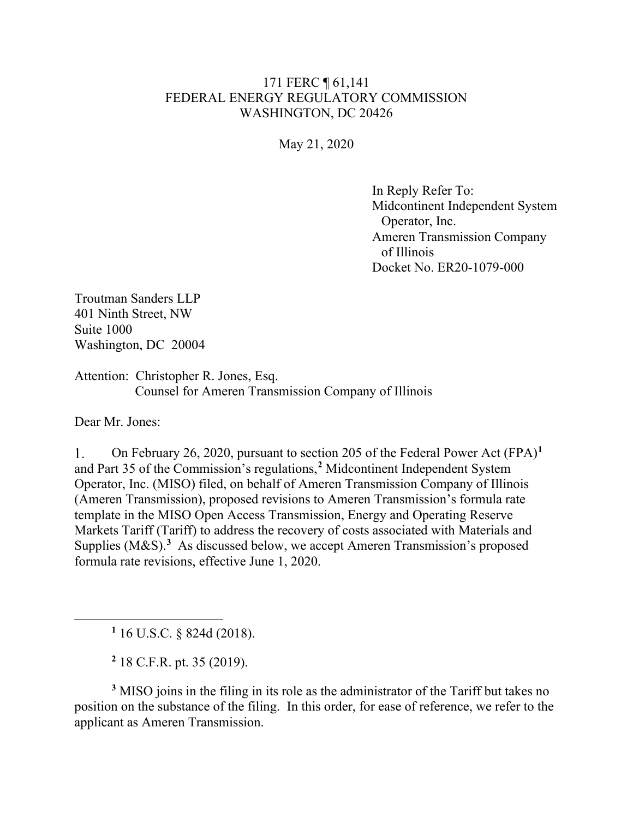## 171 FERC ¶ 61,141 FEDERAL ENERGY REGULATORY COMMISSION WASHINGTON, DC 20426

May 21, 2020

In Reply Refer To: Midcontinent Independent System Operator, Inc. Ameren Transmission Company of Illinois Docket No. ER20-1079-000

Troutman Sanders LLP 401 Ninth Street, NW Suite 1000 Washington, DC 20004

Attention: Christopher R. Jones, Esq. Counsel for Ameren Transmission Company of Illinois

Dear Mr. Jones:

On February 26, 2020, pursuant to section 205 of the Federal Power Act (FPA)**[1](#page-0-0)**  $1_{\cdot}$ and Part 35 of the Commission's regulations,**[2](#page-0-1)** Midcontinent Independent System Operator, Inc. (MISO) filed, on behalf of Ameren Transmission Company of Illinois (Ameren Transmission), proposed revisions to Ameren Transmission's formula rate template in the MISO Open Access Transmission, Energy and Operating Reserve Markets Tariff (Tariff) to address the recovery of costs associated with Materials and Supplies (M&S).**[3](#page-0-2)** As discussed below, we accept Ameren Transmission's proposed formula rate revisions, effective June 1, 2020.

**<sup>1</sup>** 16 U.S.C. § 824d (2018).

**<sup>2</sup>** 18 C.F.R. pt. 35 (2019).

<span id="page-0-2"></span><span id="page-0-1"></span><span id="page-0-0"></span>**<sup>3</sup>** MISO joins in the filing in its role as the administrator of the Tariff but takes no position on the substance of the filing. In this order, for ease of reference, we refer to the applicant as Ameren Transmission.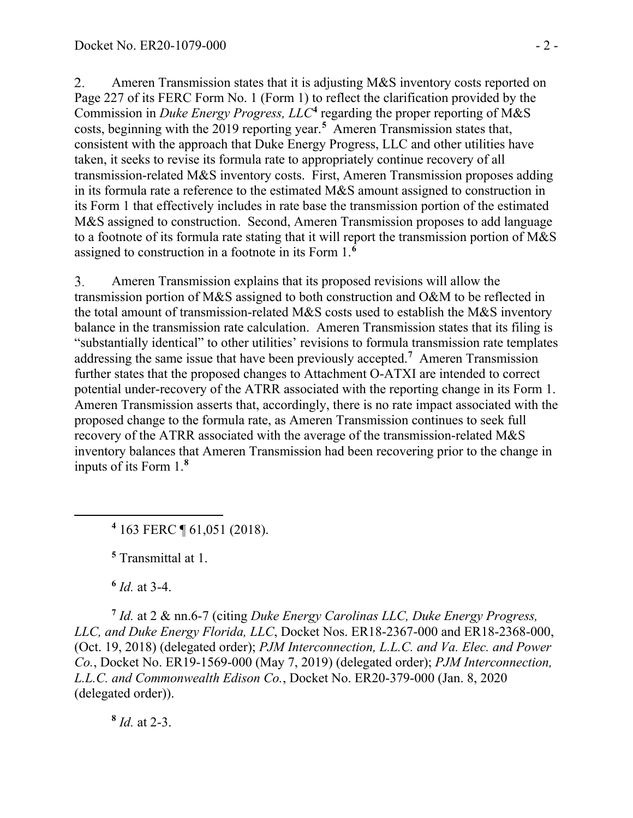2. Ameren Transmission states that it is adjusting M&S inventory costs reported on Page 227 of its FERC Form No. 1 (Form 1) to reflect the clarification provided by the Commission in *Duke Energy Progress, LLC***[4](#page-1-0)** regarding the proper reporting of M&S costs, beginning with the 2019 reporting year.**[5](#page-1-1)** Ameren Transmission states that, consistent with the approach that Duke Energy Progress, LLC and other utilities have taken, it seeks to revise its formula rate to appropriately continue recovery of all transmission-related M&S inventory costs. First, Ameren Transmission proposes adding in its formula rate a reference to the estimated M&S amount assigned to construction in its Form 1 that effectively includes in rate base the transmission portion of the estimated M&S assigned to construction. Second, Ameren Transmission proposes to add language to a footnote of its formula rate stating that it will report the transmission portion of M&S assigned to construction in a footnote in its Form 1.**[6](#page-1-2)**

Ameren Transmission explains that its proposed revisions will allow the 3. transmission portion of M&S assigned to both construction and O&M to be reflected in the total amount of transmission-related M&S costs used to establish the M&S inventory balance in the transmission rate calculation. Ameren Transmission states that its filing is "substantially identical" to other utilities' revisions to formula transmission rate templates addressing the same issue that have been previously accepted.**[7](#page-1-3)** Ameren Transmission further states that the proposed changes to Attachment O-ATXI are intended to correct potential under-recovery of the ATRR associated with the reporting change in its Form 1. Ameren Transmission asserts that, accordingly, there is no rate impact associated with the proposed change to the formula rate, as Ameren Transmission continues to seek full recovery of the ATRR associated with the average of the transmission-related M&S inventory balances that Ameren Transmission had been recovering prior to the change in inputs of its Form 1.**[8](#page-1-4)**

<span id="page-1-0"></span>**<sup>4</sup>** 163 FERC ¶ 61,051 (2018).

**<sup>5</sup>** Transmittal at 1.

**<sup>6</sup>** *Id.* at 3-4.

<span id="page-1-3"></span><span id="page-1-2"></span><span id="page-1-1"></span>**<sup>7</sup>** *Id.* at 2 & nn.6-7 (citing *Duke Energy Carolinas LLC, Duke Energy Progress, LLC, and Duke Energy Florida, LLC*, Docket Nos. ER18-2367-000 and ER18-2368-000, (Oct. 19, 2018) (delegated order); *PJM Interconnection, L.L.C. and Va. Elec. and Power Co.*, Docket No. ER19-1569-000 (May 7, 2019) (delegated order); *PJM Interconnection, L.L.C. and Commonwealth Edison Co.*, Docket No. ER20-379-000 (Jan. 8, 2020 (delegated order)).

<span id="page-1-4"></span>**<sup>8</sup>** *Id.* at 2-3.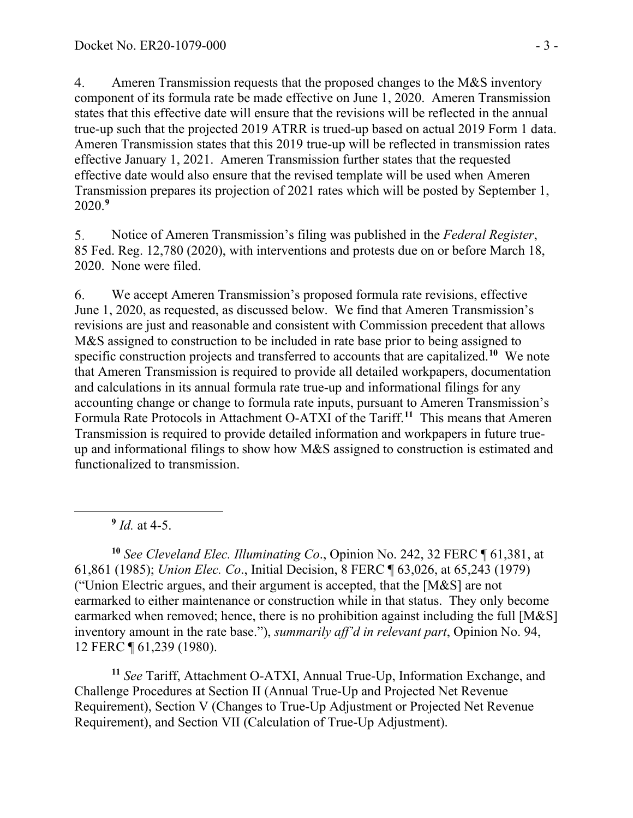$4.$ Ameren Transmission requests that the proposed changes to the M&S inventory component of its formula rate be made effective on June 1, 2020. Ameren Transmission states that this effective date will ensure that the revisions will be reflected in the annual true-up such that the projected 2019 ATRR is trued-up based on actual 2019 Form 1 data. Ameren Transmission states that this 2019 true-up will be reflected in transmission rates effective January 1, 2021. Ameren Transmission further states that the requested effective date would also ensure that the revised template will be used when Ameren Transmission prepares its projection of 2021 rates which will be posted by September 1, 2020.**[9](#page-2-0)**

5. Notice of Ameren Transmission's filing was published in the *Federal Register*, 85 Fed. Reg. 12,780 (2020), with interventions and protests due on or before March 18, 2020. None were filed.

6. We accept Ameren Transmission's proposed formula rate revisions, effective June 1, 2020, as requested, as discussed below. We find that Ameren Transmission's revisions are just and reasonable and consistent with Commission precedent that allows M&S assigned to construction to be included in rate base prior to being assigned to specific construction projects and transferred to accounts that are capitalized.<sup>[10](#page-2-1)</sup> We note that Ameren Transmission is required to provide all detailed workpapers, documentation and calculations in its annual formula rate true-up and informational filings for any accounting change or change to formula rate inputs, pursuant to Ameren Transmission's Formula Rate Protocols in Attachment O-ATXI of the Tariff.**[11](#page-2-2)** This means that Ameren Transmission is required to provide detailed information and workpapers in future trueup and informational filings to show how M&S assigned to construction is estimated and functionalized to transmission.

**<sup>9</sup>** *Id.* at 4-5.

<span id="page-2-1"></span><span id="page-2-0"></span>**<sup>10</sup>** *See Cleveland Elec. Illuminating Co*., Opinion No. 242, 32 FERC ¶ 61,381, at 61,861 (1985); *Union Elec. Co*., Initial Decision, 8 FERC ¶ 63,026, at 65,243 (1979) ("Union Electric argues, and their argument is accepted, that the [M&S] are not earmarked to either maintenance or construction while in that status. They only become earmarked when removed; hence, there is no prohibition against including the full [M&S] inventory amount in the rate base."), *summarily aff'd in relevant part*, Opinion No. 94, 12 FERC ¶ 61,239 (1980).

<span id="page-2-2"></span>**<sup>11</sup>** *See* Tariff, Attachment O-ATXI, Annual True-Up, Information Exchange, and Challenge Procedures at Section II (Annual True-Up and Projected Net Revenue Requirement), Section V (Changes to True-Up Adjustment or Projected Net Revenue Requirement), and Section VII (Calculation of True-Up Adjustment).